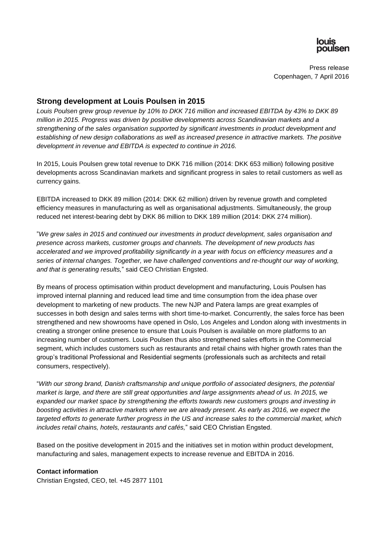

Press release Copenhagen, 7 April 2016

## **Strong development at Louis Poulsen in 2015**

*Louis Poulsen grew group revenue by 10% to DKK 716 million and increased EBITDA by 43% to DKK 89 million in 2015. Progress was driven by positive developments across Scandinavian markets and a strengthening of the sales organisation supported by significant investments in product development and establishing of new design collaborations as well as increased presence in attractive markets. The positive development in revenue and EBITDA is expected to continue in 2016.*

In 2015, Louis Poulsen grew total revenue to DKK 716 million (2014: DKK 653 million) following positive developments across Scandinavian markets and significant progress in sales to retail customers as well as currency gains.

EBITDA increased to DKK 89 million (2014: DKK 62 million) driven by revenue growth and completed efficiency measures in manufacturing as well as organisational adjustments. Simultaneously, the group reduced net interest-bearing debt by DKK 86 million to DKK 189 million (2014: DKK 274 million).

"*We grew sales in 2015 and continued our investments in product development, sales organisation and presence across markets, customer groups and channels. The development of new products has accelerated and we improved profitability significantly in a year with focus on efficiency measures and a series of internal changes. Together, we have challenged conventions and re-thought our way of working, and that is generating results,*" said CEO Christian Engsted.

By means of process optimisation within product development and manufacturing, Louis Poulsen has improved internal planning and reduced lead time and time consumption from the idea phase over development to marketing of new products. The new NJP and Patera lamps are great examples of successes in both design and sales terms with short time-to-market. Concurrently, the sales force has been strengthened and new showrooms have opened in Oslo, Los Angeles and London along with investments in creating a stronger online presence to ensure that Louis Poulsen is available on more platforms to an increasing number of customers. Louis Poulsen thus also strengthened sales efforts in the Commercial segment, which includes customers such as restaurants and retail chains with higher growth rates than the group's traditional Professional and Residential segments (professionals such as architects and retail consumers, respectively).

"*With our strong brand, Danish craftsmanship and unique portfolio of associated designers, the potential market is large, and there are still great opportunities and large assignments ahead of us. In 2015, we expanded our market space by strengthening the efforts towards new customers groups and investing in boosting activities in attractive markets where we are already present. As early as 2016, we expect the targeted efforts to generate further progress in the US and increase sales to the commercial market, which includes retail chains, hotels, restaurants and cafés,*" said CEO Christian Engsted.

Based on the positive development in 2015 and the initiatives set in motion within product development, manufacturing and sales, management expects to increase revenue and EBITDA in 2016.

## **Contact information**

Christian Engsted, CEO, tel. +45 2877 1101